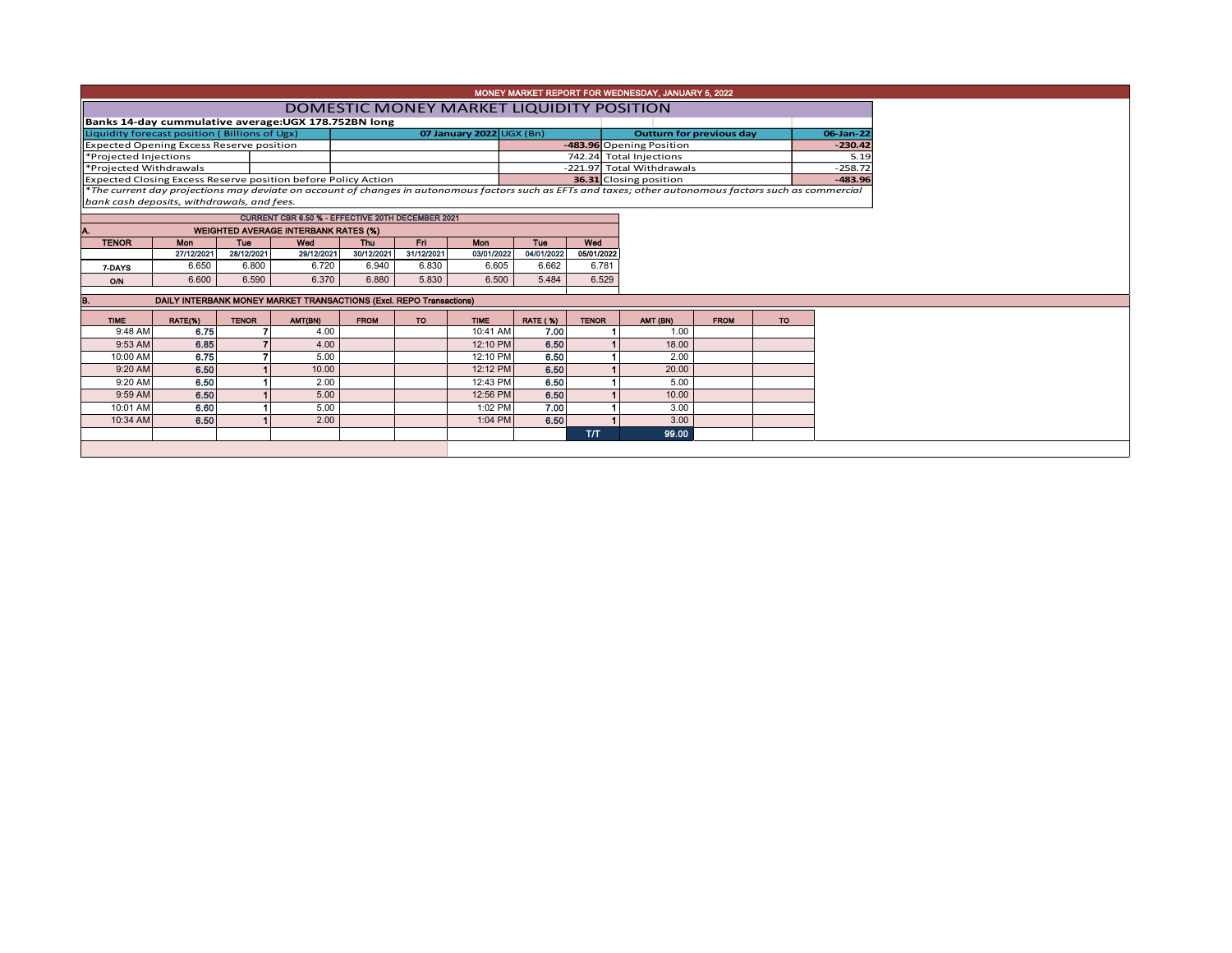| MONEY MARKET REPORT FOR WEDNESDAY, JANUARY 5, 2022            |                                                                     |              |                                                   |             |            |                          |                 |                         |                                                                                                                                                                                    |             |           |           |  |  |  |
|---------------------------------------------------------------|---------------------------------------------------------------------|--------------|---------------------------------------------------|-------------|------------|--------------------------|-----------------|-------------------------|------------------------------------------------------------------------------------------------------------------------------------------------------------------------------------|-------------|-----------|-----------|--|--|--|
|                                                               | DOMESTIC MONEY MARKET LIQUIDITY POSITION                            |              |                                                   |             |            |                          |                 |                         |                                                                                                                                                                                    |             |           |           |  |  |  |
|                                                               | Banks 14-day cummulative average: UGX 178.752BN long                |              |                                                   |             |            |                          |                 |                         |                                                                                                                                                                                    |             |           |           |  |  |  |
| Liquidity forecast position (Billions of Ugx)                 |                                                                     |              | <b>Outturn for previous day</b>                   |             |            | 06-Jan-22                |                 |                         |                                                                                                                                                                                    |             |           |           |  |  |  |
| <b>Expected Opening Excess Reserve position</b>               |                                                                     |              |                                                   |             |            | -483.96 Opening Position |                 |                         | $-230.42$                                                                                                                                                                          |             |           |           |  |  |  |
| *Projected Injections                                         |                                                                     |              |                                                   |             |            |                          |                 | 742.24 Total Injections |                                                                                                                                                                                    |             | 5.19      |           |  |  |  |
| *Projected Withdrawals                                        |                                                                     |              |                                                   |             |            |                          |                 |                         | -221.97 Total Withdrawals                                                                                                                                                          |             |           | $-258.72$ |  |  |  |
| Expected Closing Excess Reserve position before Policy Action |                                                                     |              |                                                   |             |            |                          |                 |                         | 36.31 Closing position<br>*The current day projections may deviate on account of changes in autonomous factors such as EFTs and taxes; other autonomous factors such as commercial |             |           | $-483.96$ |  |  |  |
| bank cash deposits, withdrawals, and fees.                    |                                                                     |              |                                                   |             |            |                          |                 |                         |                                                                                                                                                                                    |             |           |           |  |  |  |
|                                                               |                                                                     |              |                                                   |             |            |                          |                 |                         |                                                                                                                                                                                    |             |           |           |  |  |  |
|                                                               |                                                                     |              | CURRENT CBR 6.50 % - EFFECTIVE 20TH DECEMBER 2021 |             |            |                          |                 |                         |                                                                                                                                                                                    |             |           |           |  |  |  |
| A.                                                            | <b>WEIGHTED AVERAGE INTERBANK RATES (%)</b>                         |              |                                                   |             |            |                          |                 |                         |                                                                                                                                                                                    |             |           |           |  |  |  |
| <b>TENOR</b>                                                  | <b>Mon</b>                                                          | Tuo          | Wed                                               | Thu         | Fri.       | <b>Mon</b>               | Tue             | Wed                     |                                                                                                                                                                                    |             |           |           |  |  |  |
|                                                               | 27/12/2021                                                          | 28/12/2021   | 29/12/2021                                        | 30/12/2021  | 31/12/2021 | 03/01/2022               | 04/01/2022      | 05/01/2022              |                                                                                                                                                                                    |             |           |           |  |  |  |
| 7-DAYS                                                        | 6.650                                                               | 6.800        | 6.720                                             | 6.940       | 6.830      | 6.605                    | 6.662           | 6.781                   |                                                                                                                                                                                    |             |           |           |  |  |  |
| O/N                                                           | 6.600                                                               | 6.590        | 6.370                                             | 6.880       | 5.830      | 6.500                    | 5.484           | 6.529                   |                                                                                                                                                                                    |             |           |           |  |  |  |
| B.                                                            | DAILY INTERBANK MONEY MARKET TRANSACTIONS (Excl. REPO Transactions) |              |                                                   |             |            |                          |                 |                         |                                                                                                                                                                                    |             |           |           |  |  |  |
|                                                               |                                                                     |              |                                                   |             |            |                          |                 |                         |                                                                                                                                                                                    |             |           |           |  |  |  |
| <b>TIME</b>                                                   | RATE(%)                                                             | <b>TENOR</b> | AMT(BN)                                           | <b>FROM</b> | <b>TO</b>  | <b>TIME</b>              | <b>RATE (%)</b> | <b>TENOR</b>            | AMT (BN)                                                                                                                                                                           | <b>FROM</b> | <b>TO</b> |           |  |  |  |
| $9:48$ AM                                                     | 6.75                                                                |              | 4.00                                              |             |            | 10:41 AM                 | 7.00            |                         | 1.00                                                                                                                                                                               |             |           |           |  |  |  |
| 9:53 AM                                                       | 6.85                                                                |              | 4.00                                              |             |            | 12:10 PM                 | 6.50            |                         | 18.00                                                                                                                                                                              |             |           |           |  |  |  |
| 10:00 AM                                                      | 6.75                                                                |              | 5.00                                              |             |            | 12:10 PM                 | 6.50            |                         | 2.00                                                                                                                                                                               |             |           |           |  |  |  |
| 9:20 AM                                                       | 6.50                                                                |              | 10.00                                             |             |            | 12:12 PM                 | 6.50            |                         | 20.00                                                                                                                                                                              |             |           |           |  |  |  |
| 9:20 AM                                                       |                                                                     |              |                                                   |             |            |                          |                 |                         |                                                                                                                                                                                    |             |           |           |  |  |  |
|                                                               | 6.50                                                                |              | 2.00                                              |             |            | 12:43 PM                 | 6.50            |                         | 5.00                                                                                                                                                                               |             |           |           |  |  |  |
| 9:59 AM                                                       | 6.50                                                                |              | 5.00                                              |             |            | 12:56 PM                 | 6.50            |                         | 10.00                                                                                                                                                                              |             |           |           |  |  |  |
| 10:01 AM                                                      | 6.60                                                                |              | 5.00                                              |             |            | 1:02 PM                  | 7.00            |                         | 3.00                                                                                                                                                                               |             |           |           |  |  |  |
| 10:34 AM                                                      | 6.50                                                                |              | 2.00                                              |             |            | 1:04 PM                  | 6.50            |                         | 3.00                                                                                                                                                                               |             |           |           |  |  |  |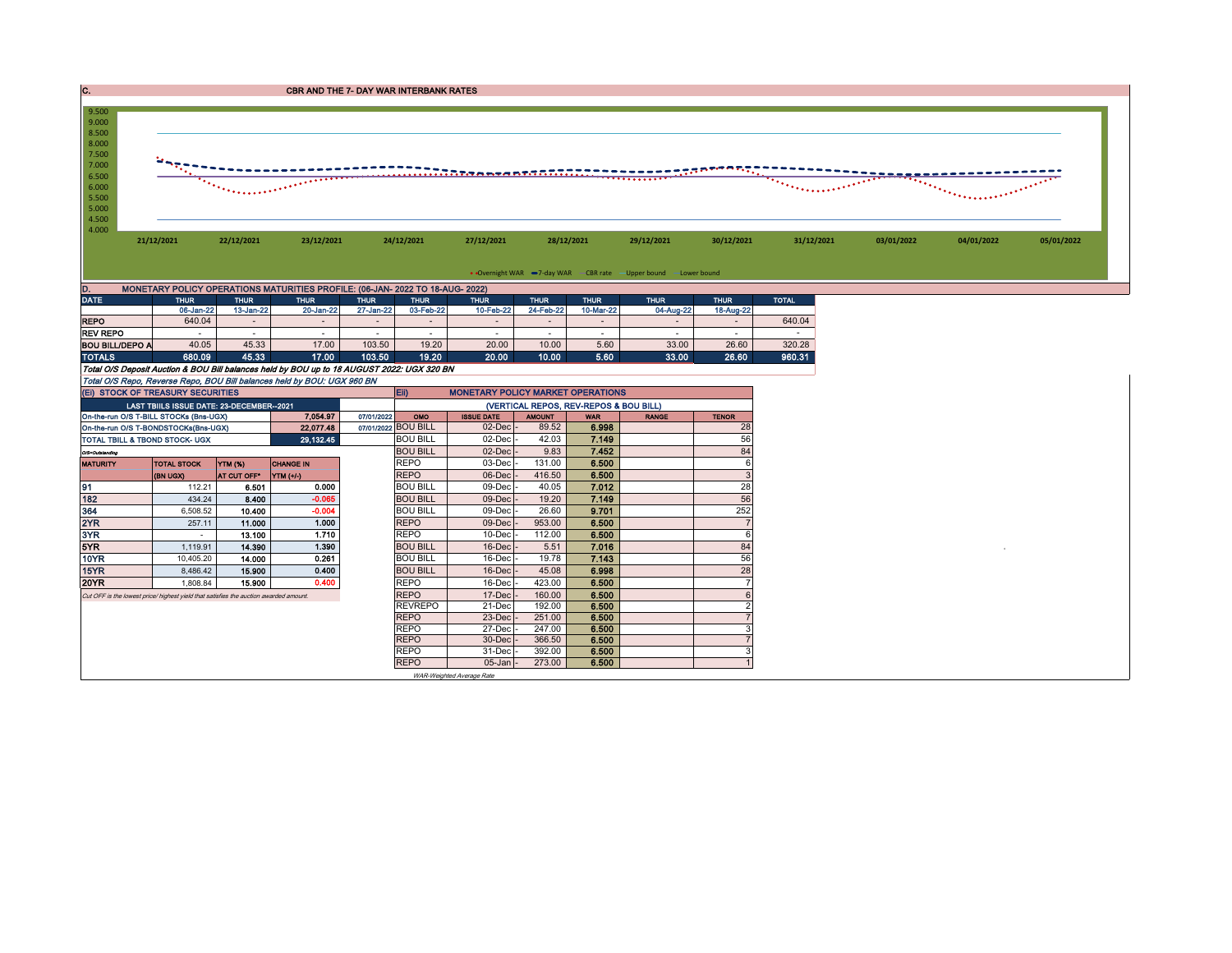| <b>CBR AND THE 7- DAY WAR INTERBANK RATES</b> |
|-----------------------------------------------|
|                                               |



| DATE                                                                                       | <b>THUR</b> | <b>THUR</b> | <b>THUR</b> | <b>THUR</b> | <b>THUR</b> | <b>THUR</b> | <b>THUR</b> | <b>THUR</b> | <b>THUR</b> | <b>THUR</b> | <b>TOTAL</b> |
|--------------------------------------------------------------------------------------------|-------------|-------------|-------------|-------------|-------------|-------------|-------------|-------------|-------------|-------------|--------------|
|                                                                                            | 06-Jan-22   | 13-Jan-22   | 20-Jan-22   | 27-Jan-22   | 03-Feb-22   | 10-Feb-22   | 24-Feb-22   | 10-Mar-22   | 04-Aug-22   | 18-Aug-22   |              |
| <b>REPO</b>                                                                                | 640.04      |             |             | $\sim$      |             |             |             |             |             |             | 640.04       |
| <b>REV REPO</b>                                                                            |             |             |             |             |             |             |             |             |             |             |              |
| <b>BOU BILL/DEPO A</b>                                                                     | 40.05       | 45.33       | 17.00       | 103.50      | 19.20       | 20.00       | 10.00       | 5.60        | 33.00       | 26.60       | 320.28       |
| <b>TOTALS</b>                                                                              | 680.09      | 45.33       | 17.00       | 103.50      | 19.20       | 20.00       | 10.00       | 5.60        | 33.00       | 26.60       | 960.31       |
| Total O/S Deposit Auction & BOU Bill balances held by BOU up to 18 AUGUST 2022: UGX 320 BN |             |             |             |             |             |             |             |             |             |             |              |
| Total O/S Repo, Reverse Repo, BOU Bill balances held by BOU: UGX 960 BN                    |             |             |             |             |             |             |             |             |             |             |              |

| (EI) STOCK OF TREASURY SECURITIES                                                    |                                          |             |                  |            |                                        | <b>ED</b><br><b>MONETARY POLICY MARKET OPERATIONS</b> |               |            |              |              |  |  |  |
|--------------------------------------------------------------------------------------|------------------------------------------|-------------|------------------|------------|----------------------------------------|-------------------------------------------------------|---------------|------------|--------------|--------------|--|--|--|
|                                                                                      | LAST TBIILS ISSUE DATE: 23-DECEMBER-2021 |             |                  |            | (VERTICAL REPOS, REV-REPOS & BOU BILL) |                                                       |               |            |              |              |  |  |  |
| On-the-run O/S T-BILL STOCKs (Bns-UGX)                                               |                                          |             | 7.054.97         | 07/01/2022 | OMO                                    | <b>ISSUE DATE</b>                                     | <b>AMOUNT</b> | <b>WAR</b> | <b>RANGE</b> | <b>TENOR</b> |  |  |  |
| On-the-run O/S T-BONDSTOCKs(Bns-UGX)                                                 |                                          |             | 22.077.48        |            | 07/01/2022 BOU BILL                    | $02$ -Dec $-$                                         | 89.52         | 6.998      |              | 28           |  |  |  |
| 29,132.45<br>TOTAL TBILL & TBOND STOCK- UGX                                          |                                          |             |                  |            | <b>BOU BILL</b>                        | 02-Decl                                               | 42.03         | 7.149      |              | 56           |  |  |  |
| O/S=Outstanding                                                                      |                                          |             |                  |            | <b>BOU BILL</b>                        | $02$ -Dec $\vert$ -                                   | 9.83          | 7.452      |              | 84           |  |  |  |
| <b>MATURITY</b>                                                                      | <b>TOTAL STOCK</b>                       | YTM (%)     | <b>CHANGE IN</b> |            | <b>REPO</b>                            | 03-Decl                                               | 131.00        | 6.500      |              | 6            |  |  |  |
|                                                                                      | <b>CKDU VIB)</b>                         | AT CUT OFF* | YTM (+/-)        |            | <b>REPO</b>                            | $06$ -Dec                                             | 416.50        | 6.500      |              |              |  |  |  |
| 91                                                                                   | 112.21                                   | 6.501       | 0.000            |            | <b>BOU BILL</b>                        | 09-Decl                                               | 40.05         | 7.012      |              | 28           |  |  |  |
| 182                                                                                  | 434.24                                   | 8.400       | $-0.065$         |            | <b>BOU BILL</b>                        | $09$ -Dec                                             | 19.20         | 7.149      |              | 56           |  |  |  |
| 364                                                                                  | 6,508.52                                 | 10.400      | $-0.004$         |            | <b>BOU BILL</b>                        | 09-Decl                                               | 26.60         | 9.701      |              | 252          |  |  |  |
| 2YR                                                                                  | 257.11                                   | 11.000      | 1.000            |            | <b>REPO</b>                            | $09$ -Dec                                             | 953.00        | 6.500      |              |              |  |  |  |
| 3YR                                                                                  |                                          | 13.100      | 1.710            |            | <b>REPO</b>                            | $10$ -Dec                                             | 112.00        | 6.500      |              | 6            |  |  |  |
| 5YR.                                                                                 | 1.119.91                                 | 14.390      | 1.390            |            | <b>BOU BILL</b>                        | 16-Decl                                               | 5.51          | 7.016      |              | 84           |  |  |  |
| 10YR                                                                                 | 10.405.20                                | 14.000      | 0.261            |            | <b>BOU BILL</b>                        | $16$ -Dec                                             | 19.78         | 7.143      |              | 56           |  |  |  |
| 15YR                                                                                 | 8.486.42                                 | 15.900      | 0.400            |            | <b>BOU BILL</b>                        | $16$ -Dec                                             | 45.08         | 6.998      |              | 28           |  |  |  |
| 20YR                                                                                 | 1.808.84                                 | 15.900      | 0.400            |            | <b>REPO</b>                            | 16-Decl                                               | 423.00        | 6.500      |              |              |  |  |  |
| Cut OFF is the lowest price/highest yield that satisfies the auction awarded amount. |                                          |             |                  |            | <b>REPO</b>                            | $17$ -Dec                                             | 160.00        | 6.500      |              |              |  |  |  |
|                                                                                      |                                          |             |                  |            | <b>REVREPO</b>                         | 21-Decl                                               | 192.00        | 6.500      |              | $\sim$       |  |  |  |
|                                                                                      |                                          |             |                  |            | <b>REPO</b>                            | $23$ -Dec                                             | 251.00        | 6.500      |              |              |  |  |  |
|                                                                                      |                                          |             |                  |            | <b>REPO</b>                            | 27-Dec                                                | 247.00        | 6.500      |              |              |  |  |  |
|                                                                                      |                                          |             |                  |            | <b>REPO</b>                            | $30 - Dec$                                            | 366.50        | 6.500      |              |              |  |  |  |
|                                                                                      |                                          |             |                  |            | <b>REPO</b>                            | $31$ -Decl                                            | 392.00        | 6.500      |              |              |  |  |  |
|                                                                                      |                                          |             |                  |            | <b>REPO</b>                            | $05$ -Jan $-$                                         | 273.00        | 6.500      |              |              |  |  |  |
|                                                                                      |                                          |             |                  |            |                                        | WAR-Weighted Average Rate                             |               |            |              |              |  |  |  |